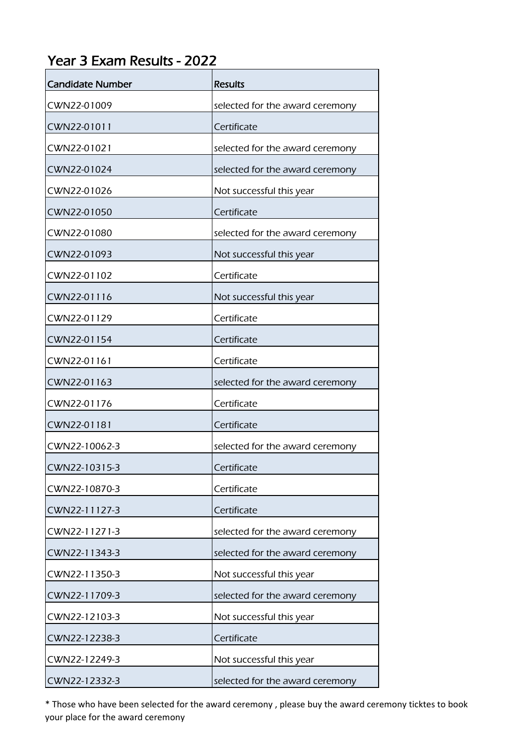## Year 3 Exam Results - 2022

| <b>Candidate Number</b> | <b>Results</b>                  |
|-------------------------|---------------------------------|
| CWN22-01009             | selected for the award ceremony |
| CWN22-01011             | Certificate                     |
| CWN22-01021             | selected for the award ceremony |
| CWN22-01024             | selected for the award ceremony |
| CWN22-01026             | Not successful this year        |
| CWN22-01050             | Certificate                     |
| CWN22-01080             | selected for the award ceremony |
| CWN22-01093             | Not successful this year        |
| CWN22-01102             | Certificate                     |
| CWN22-01116             | Not successful this year        |
| CWN22-01129             | Certificate                     |
| CWN22-01154             | Certificate                     |
| CWN22-01161             | Certificate                     |
| CWN22-01163             | selected for the award ceremony |
| CWN22-01176             | Certificate                     |
| CWN22-01181             | Certificate                     |
| CWN22-10062-3           | selected for the award ceremony |
| CWN22-10315-3           | Certificate                     |
| CWN22-10870-3           | Certificate                     |
| CWN22-11127-3           | Certificate                     |
| CWN22-11271-3           | selected for the award ceremony |
| CWN22-11343-3           | selected for the award ceremony |
| CWN22-11350-3           | Not successful this year        |
| CWN22-11709-3           | selected for the award ceremony |
| CWN22-12103-3           | Not successful this year        |
| CWN22-12238-3           | Certificate                     |
| CWN22-12249-3           | Not successful this year        |
| CWN22-12332-3           | selected for the award ceremony |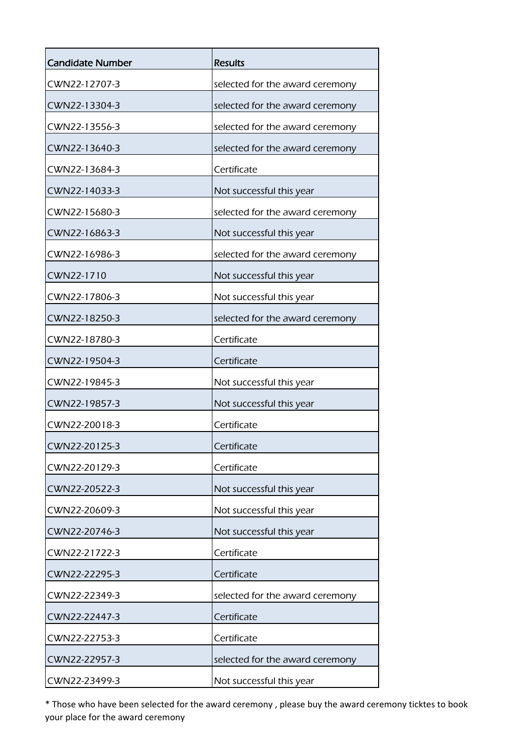| <b>Candidate Number</b> | <b>Results</b>                  |
|-------------------------|---------------------------------|
| CWN22-12707-3           | selected for the award ceremony |
| CWN22-13304-3           | selected for the award ceremony |
| CWN22-13556-3           | selected for the award ceremony |
| CWN22-13640-3           | selected for the award ceremony |
| CWN22-13684-3           | Certificate                     |
| CWN22-14033-3           | Not successful this year        |
| CWN22-15680-3           | selected for the award ceremony |
| CWN22-16863-3           | Not successful this year        |
| CWN22-16986-3           | selected for the award ceremony |
| CWN22-1710              | Not successful this year        |
| CWN22-17806-3           | Not successful this year        |
| CWN22-18250-3           | selected for the award ceremony |
| CWN22-18780-3           | Certificate                     |
| CWN22-19504-3           | Certificate                     |
| CWN22-19845-3           | Not successful this year        |
| CWN22-19857-3           | Not successful this year        |
| CWN22-20018-3           | Certificate                     |
| CWN22-20125-3           | Certificate                     |
| CWN22-20129-3           | Certificate                     |
| CWN22-20522-3           | Not successful this year        |
| CWN22-20609-3           | Not successful this year        |
| CWN22-20746-3           | Not successful this year        |
| CWN22-21722-3           | Certificate                     |
| CWN22-22295-3           | Certificate                     |
| CWN22-22349-3           | selected for the award ceremony |
| CWN22-22447-3           | Certificate                     |
| CWN22-22753-3           | Certificate                     |
| CWN22-22957-3           | selected for the award ceremony |
| CWN22-23499-3           | Not successful this year        |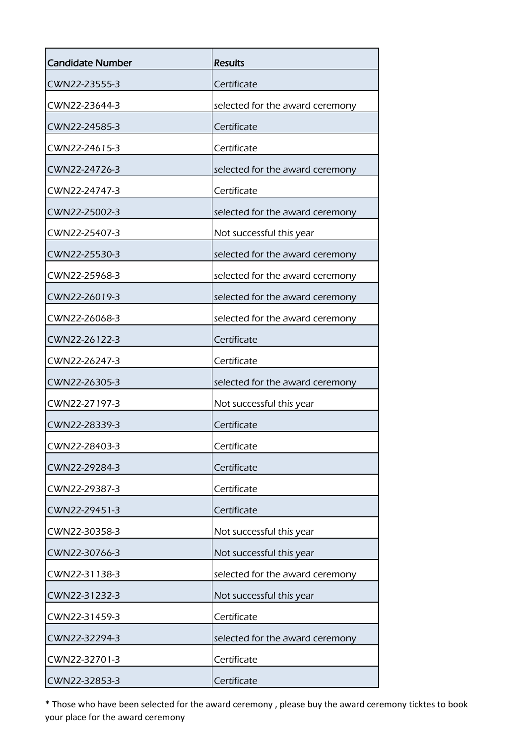| Candidate Number | <b>Results</b>                  |
|------------------|---------------------------------|
| CWN22-23555-3    | Certificate                     |
| CWN22-23644-3    | selected for the award ceremony |
| CWN22-24585-3    | Certificate                     |
| CWN22-24615-3    | Certificate                     |
| CWN22-24726-3    | selected for the award ceremony |
| CWN22-24747-3    | Certificate                     |
| CWN22-25002-3    | selected for the award ceremony |
| CWN22-25407-3    | Not successful this year        |
| CWN22-25530-3    | selected for the award ceremony |
| CWN22-25968-3    | selected for the award ceremony |
| CWN22-26019-3    | selected for the award ceremony |
| CWN22-26068-3    | selected for the award ceremony |
| CWN22-26122-3    | Certificate                     |
| CWN22-26247-3    | Certificate                     |
| CWN22-26305-3    | selected for the award ceremony |
| CWN22-27197-3    | Not successful this year        |
| CWN22-28339-3    | Certificate                     |
| CWN22-28403-3    | Certificate                     |
| CWN22-29284-3    | Certificate                     |
| CWN22-29387-3    | Certificate                     |
| CWN22-29451-3    | Certificate                     |
| CWN22-30358-3    | Not successful this year        |
| CWN22-30766-3    | Not successful this year        |
| CWN22-31138-3    | selected for the award ceremony |
| CWN22-31232-3    | Not successful this year        |
| CWN22-31459-3    | Certificate                     |
| CWN22-32294-3    | selected for the award ceremony |
| CWN22-32701-3    | Certificate                     |
| CWN22-32853-3    | Certificate                     |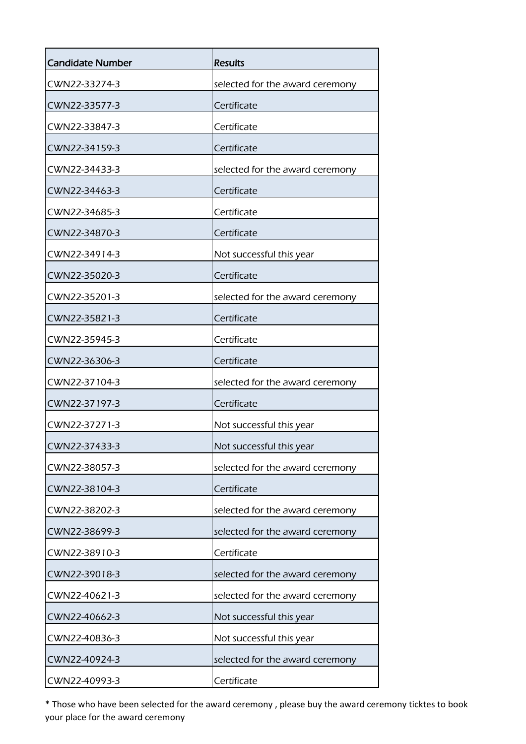| <b>Candidate Number</b> | <b>Results</b>                  |
|-------------------------|---------------------------------|
| CWN22-33274-3           | selected for the award ceremony |
| CWN22-33577-3           | Certificate                     |
| CWN22-33847-3           | Certificate                     |
| CWN22-34159-3           | Certificate                     |
| CWN22-34433-3           | selected for the award ceremony |
| CWN22-34463-3           | Certificate                     |
| CWN22-34685-3           | Certificate                     |
| CWN22-34870-3           | Certificate                     |
| CWN22-34914-3           | Not successful this year        |
| CWN22-35020-3           | Certificate                     |
| CWN22-35201-3           | selected for the award ceremony |
| CWN22-35821-3           | Certificate                     |
| CWN22-35945-3           | Certificate                     |
| CWN22-36306-3           | Certificate                     |
| CWN22-37104-3           | selected for the award ceremony |
| CWN22-37197-3           | Certificate                     |
| CWN22-37271-3           | Not successful this year        |
| CWN22-37433-3           | Not successful this year        |
| CWN22-38057-3           | selected for the award ceremony |
| CWN22-38104-3           | Certificate                     |
| CWN22-38202-3           | selected for the award ceremony |
| CWN22-38699-3           | selected for the award ceremony |
| CWN22-38910-3           | Certificate                     |
| CWN22-39018-3           | selected for the award ceremony |
| CWN22-40621-3           | selected for the award ceremony |
| CWN22-40662-3           | Not successful this year        |
| CWN22-40836-3           | Not successful this year        |
| CWN22-40924-3           | selected for the award ceremony |
| CWN22-40993-3           | Certificate                     |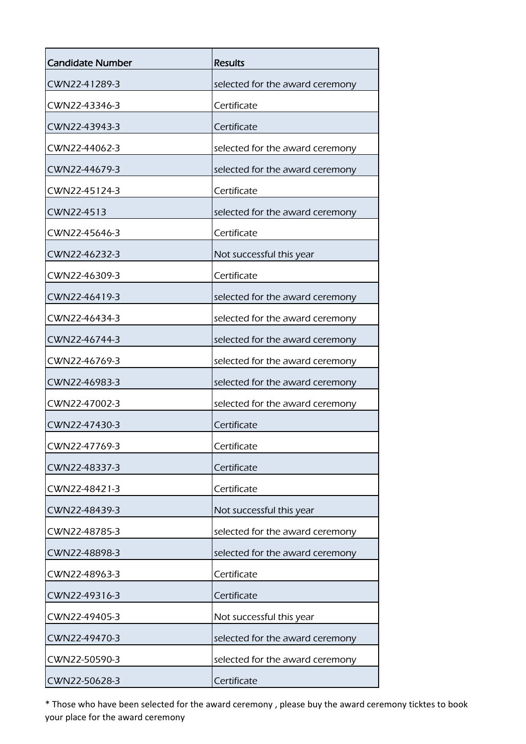| <b>Candidate Number</b> | <b>Results</b>                  |
|-------------------------|---------------------------------|
| CWN22-41289-3           | selected for the award ceremony |
| CWN22-43346-3           | Certificate                     |
| CWN22-43943-3           | Certificate                     |
| CWN22-44062-3           | selected for the award ceremony |
| CWN22-44679-3           | selected for the award ceremony |
| CWN22-45124-3           | Certificate                     |
| CWN22-4513              | selected for the award ceremony |
| CWN22-45646-3           | Certificate                     |
| CWN22-46232-3           | Not successful this year        |
| CWN22-46309-3           | Certificate                     |
| CWN22-46419-3           | selected for the award ceremony |
| CWN22-46434-3           | selected for the award ceremony |
| CWN22-46744-3           | selected for the award ceremony |
| CWN22-46769-3           | selected for the award ceremony |
| CWN22-46983-3           | selected for the award ceremony |
| CWN22-47002-3           | selected for the award ceremony |
| CWN22-47430-3           | Certificate                     |
| CWN22-47769-3           | Certificate                     |
| CWN22-48337-3           | Certificate                     |
| CWN22-48421-3           | Certificate                     |
| CWN22-48439-3           | Not successful this year        |
| CWN22-48785-3           | selected for the award ceremony |
| CWN22-48898-3           | selected for the award ceremony |
| CWN22-48963-3           | Certificate                     |
| CWN22-49316-3           | Certificate                     |
| CWN22-49405-3           | Not successful this year        |
| CWN22-49470-3           | selected for the award ceremony |
| CWN22-50590-3           | selected for the award ceremony |
| CWN22-50628-3           | Certificate                     |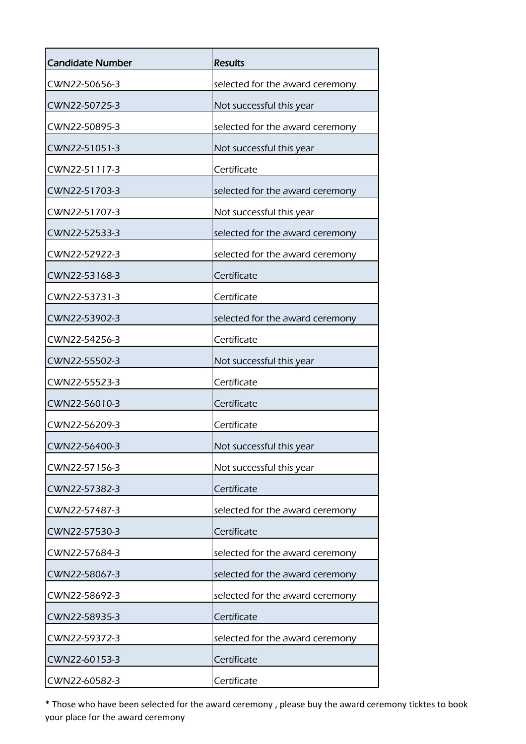| <b>Candidate Number</b> | <b>Results</b>                  |
|-------------------------|---------------------------------|
| CWN22-50656-3           | selected for the award ceremony |
| CWN22-50725-3           | Not successful this year        |
| CWN22-50895-3           | selected for the award ceremony |
| CWN22-51051-3           | Not successful this year        |
| CWN22-51117-3           | Certificate                     |
| CWN22-51703-3           | selected for the award ceremony |
| CWN22-51707-3           | Not successful this year        |
| CWN22-52533-3           | selected for the award ceremony |
| CWN22-52922-3           | selected for the award ceremony |
| CWN22-53168-3           | Certificate                     |
| CWN22-53731-3           | Certificate                     |
| CWN22-53902-3           | selected for the award ceremony |
| CWN22-54256-3           | Certificate                     |
| CWN22-55502-3           | Not successful this year        |
| CWN22-55523-3           | Certificate                     |
| CWN22-56010-3           | Certificate                     |
| CWN22-56209-3           | Certificate                     |
| CWN22-56400-3           | Not successful this year        |
| CWN22-57156-3           | Not successful this year        |
| CWN22-57382-3           | Certificate                     |
| CWN22-57487-3           | selected for the award ceremony |
| CWN22-57530-3           | Certificate                     |
| CWN22-57684-3           | selected for the award ceremony |
| CWN22-58067-3           | selected for the award ceremony |
| CWN22-58692-3           | selected for the award ceremony |
| CWN22-58935-3           | Certificate                     |
| CWN22-59372-3           | selected for the award ceremony |
| CWN22-60153-3           | Certificate                     |
| CWN22-60582-3           | Certificate                     |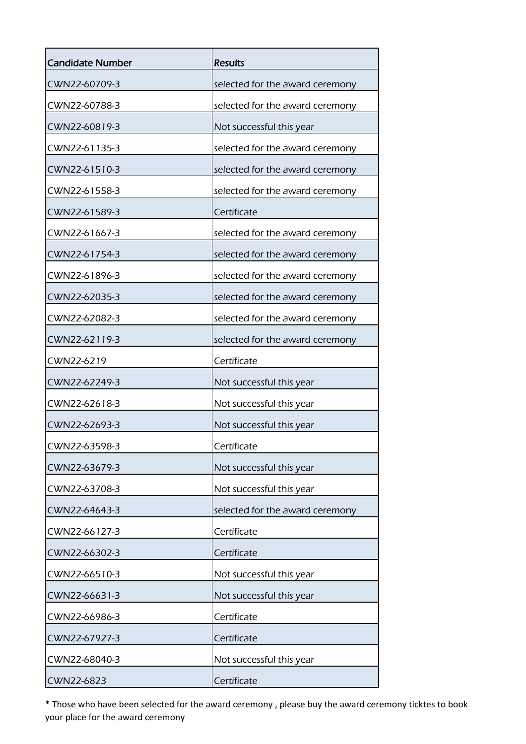| Candidate Number | <b>Results</b>                  |
|------------------|---------------------------------|
| CWN22-60709-3    | selected for the award ceremony |
| CWN22-60788-3    | selected for the award ceremony |
| CWN22-60819-3    | Not successful this year        |
| CWN22-61135-3    | selected for the award ceremony |
| CWN22-61510-3    | selected for the award ceremony |
| CWN22-61558-3    | selected for the award ceremony |
| CWN22-61589-3    | Certificate                     |
| CWN22-61667-3    | selected for the award ceremony |
| CWN22-61754-3    | selected for the award ceremony |
| CWN22-61896-3    | selected for the award ceremony |
| CWN22-62035-3    | selected for the award ceremony |
| CWN22-62082-3    | selected for the award ceremony |
| CWN22-62119-3    | selected for the award ceremony |
| CWN22-6219       | Certificate                     |
| CWN22-62249-3    | Not successful this year        |
| CWN22-62618-3    | Not successful this year        |
| CWN22-62693-3    | Not successful this year        |
| CWN22-63598-3    | Certificate                     |
| CWN22-63679-3    | Not successful this year        |
| CWN22-63708-3    | Not successful this year        |
| CWN22-64643-3    | selected for the award ceremony |
| CWN22-66127-3    | Certificate                     |
| CWN22-66302-3    | Certificate                     |
| CWN22-66510-3    | Not successful this year        |
| CWN22-66631-3    | Not successful this year        |
| CWN22-66986-3    | Certificate                     |
| CWN22-67927-3    | Certificate                     |
| CWN22-68040-3    | Not successful this year        |
| CWN22-6823       | Certificate                     |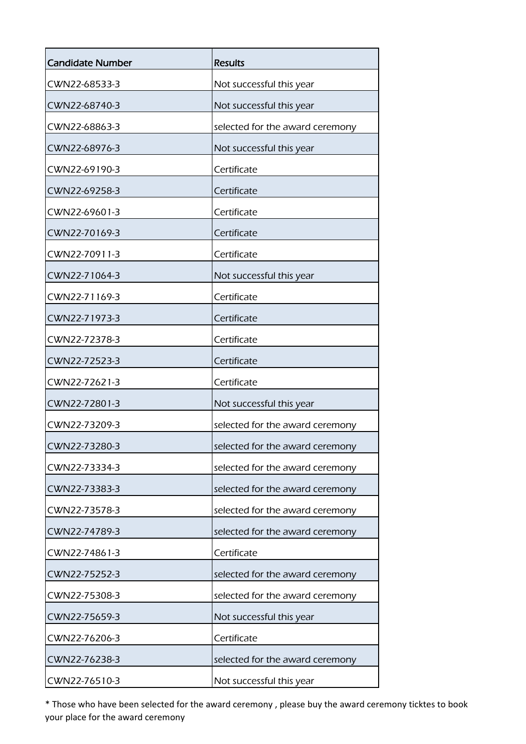| <b>Candidate Number</b> | <b>Results</b>                  |
|-------------------------|---------------------------------|
| CWN22-68533-3           | Not successful this year        |
| CWN22-68740-3           | Not successful this year        |
| CWN22-68863-3           | selected for the award ceremony |
| CWN22-68976-3           | Not successful this year        |
| CWN22-69190-3           | Certificate                     |
| CWN22-69258-3           | Certificate                     |
| CWN22-69601-3           | Certificate                     |
| CWN22-70169-3           | Certificate                     |
| CWN22-70911-3           | Certificate                     |
| CWN22-71064-3           | Not successful this year        |
| CWN22-71169-3           | Certificate                     |
| CWN22-71973-3           | Certificate                     |
| CWN22-72378-3           | Certificate                     |
| CWN22-72523-3           | Certificate                     |
| CWN22-72621-3           | Certificate                     |
| CWN22-72801-3           | Not successful this year        |
| CWN22-73209-3           | selected for the award ceremony |
| CWN22-73280-3           | selected for the award ceremony |
| CWN22-73334-3           | selected for the award ceremony |
| CWN22-73383-3           | selected for the award ceremony |
| CWN22-73578-3           | selected for the award ceremony |
| CWN22-74789-3           | selected for the award ceremony |
| CWN22-74861-3           | Certificate                     |
| CWN22-75252-3           | selected for the award ceremony |
| CWN22-75308-3           | selected for the award ceremony |
| CWN22-75659-3           | Not successful this year        |
| CWN22-76206-3           | Certificate                     |
| CWN22-76238-3           | selected for the award ceremony |
| CWN22-76510-3           | Not successful this year        |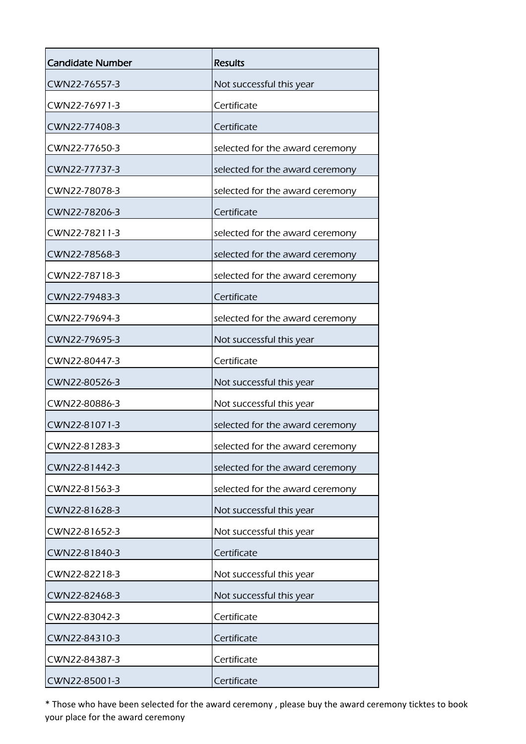| <b>Candidate Number</b> | <b>Results</b>                  |
|-------------------------|---------------------------------|
| CWN22-76557-3           | Not successful this year        |
| CWN22-76971-3           | Certificate                     |
| CWN22-77408-3           | Certificate                     |
| CWN22-77650-3           | selected for the award ceremony |
| CWN22-77737-3           | selected for the award ceremony |
| CWN22-78078-3           | selected for the award ceremony |
| CWN22-78206-3           | Certificate                     |
| CWN22-78211-3           | selected for the award ceremony |
| CWN22-78568-3           | selected for the award ceremony |
| CWN22-78718-3           | selected for the award ceremony |
| CWN22-79483-3           | Certificate                     |
| CWN22-79694-3           | selected for the award ceremony |
| CWN22-79695-3           | Not successful this year        |
| CWN22-80447-3           | Certificate                     |
| CWN22-80526-3           | Not successful this year        |
| CWN22-80886-3           | Not successful this year        |
| CWN22-81071-3           | selected for the award ceremony |
| CWN22-81283-3           | selected for the award ceremony |
| CWN22-81442-3           | selected for the award ceremony |
| CWN22-81563-3           | selected for the award ceremony |
| CWN22-81628-3           | Not successful this year        |
| CWN22-81652-3           | Not successful this year        |
| CWN22-81840-3           | Certificate                     |
| CWN22-82218-3           | Not successful this year        |
| CWN22-82468-3           | Not successful this year        |
| CWN22-83042-3           | Certificate                     |
| CWN22-84310-3           | Certificate                     |
| CWN22-84387-3           | Certificate                     |
| CWN22-85001-3           | Certificate                     |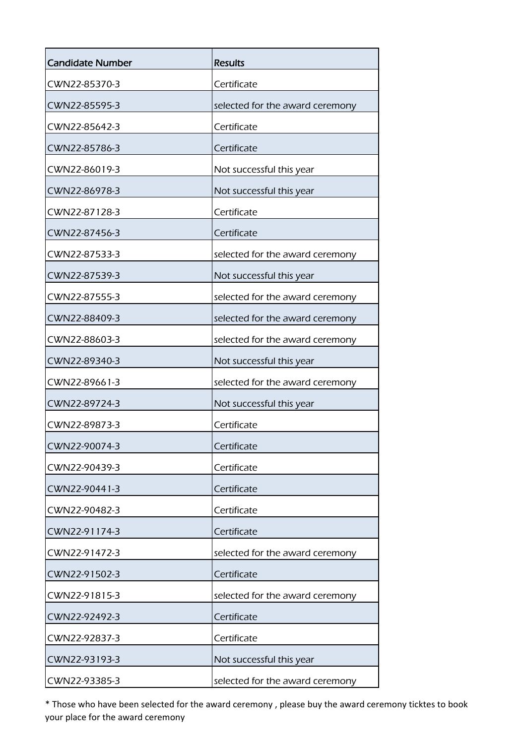| <b>Candidate Number</b> | <b>Results</b>                  |
|-------------------------|---------------------------------|
| CWN22-85370-3           | Certificate                     |
| CWN22-85595-3           | selected for the award ceremony |
| CWN22-85642-3           | Certificate                     |
| CWN22-85786-3           | Certificate                     |
| CWN22-86019-3           | Not successful this year        |
| CWN22-86978-3           | Not successful this year        |
| CWN22-87128-3           | Certificate                     |
| CWN22-87456-3           | Certificate                     |
| CWN22-87533-3           | selected for the award ceremony |
| CWN22-87539-3           | Not successful this year        |
| CWN22-87555-3           | selected for the award ceremony |
| CWN22-88409-3           | selected for the award ceremony |
| CWN22-88603-3           | selected for the award ceremony |
| CWN22-89340-3           | Not successful this year        |
| CWN22-89661-3           | selected for the award ceremony |
| CWN22-89724-3           | Not successful this year        |
| CWN22-89873-3           | Certificate                     |
| CWN22-90074-3           | Certificate                     |
| CWN22-90439-3           | Certificate                     |
| CWN22-90441-3           | Certificate                     |
| CWN22-90482-3           | Certificate                     |
| CWN22-91174-3           | Certificate                     |
| CWN22-91472-3           | selected for the award ceremony |
| CWN22-91502-3           | Certificate                     |
| CWN22-91815-3           | selected for the award ceremony |
| CWN22-92492-3           | Certificate                     |
| CWN22-92837-3           | Certificate                     |
| CWN22-93193-3           | Not successful this year        |
| CWN22-93385-3           | selected for the award ceremony |